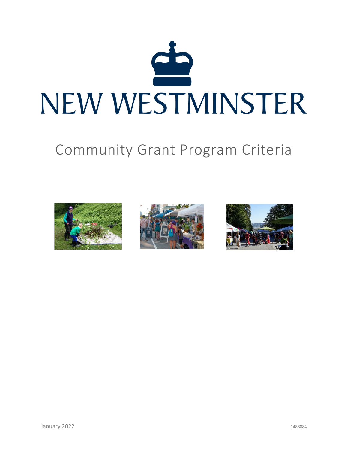

# Community Grant Program Criteria





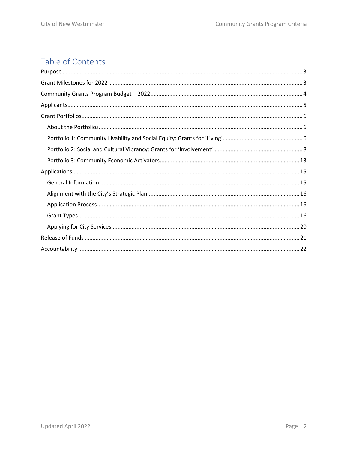# Table of Contents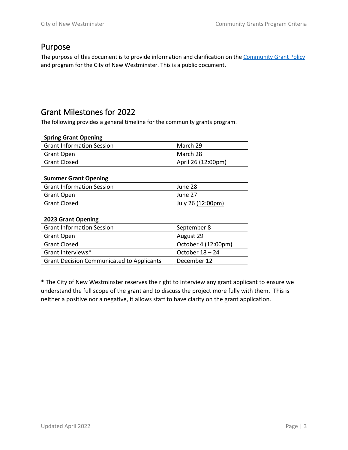### <span id="page-2-0"></span>Purpose

The purpose of this document is to provide information and clarification on the [Community Grant Policy](https://www.newwestcity.ca/database/files/library/Grant_Policy_Final_Draft(1).pdf) and program for the City of New Westminster. This is a public document.

# <span id="page-2-1"></span>Grant Milestones for 2022

The following provides a general timeline for the community grants program.

#### **Spring Grant Opening**

| <b>Grant Information Session</b> | March 29                 |
|----------------------------------|--------------------------|
| Grant Open                       | March 28                 |
| <b>Grant Closed</b>              | $\mu$ April 26 (12:00pm) |

#### **Summer Grant Opening**

| <b>Grant Information Session</b> | June 28           |
|----------------------------------|-------------------|
| Grant Open                       | June 27           |
| <b>Grant Closed</b>              | July 26 (12:00pm) |

#### **2023 Grant Opening**

| <b>Grant Information Session</b>                 | September 8         |
|--------------------------------------------------|---------------------|
| <b>Grant Open</b>                                | August 29           |
| <b>Grant Closed</b>                              | October 4 (12:00pm) |
| Grant Interviews*                                | October $18 - 24$   |
| <b>Grant Decision Communicated to Applicants</b> | December 12         |

\* The City of New Westminster reserves the right to interview any grant applicant to ensure we understand the full scope of the grant and to discuss the project more fully with them. This is neither a positive nor a negative, it allows staff to have clarity on the grant application.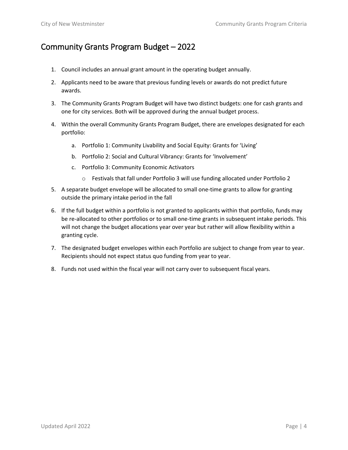# <span id="page-3-0"></span>Community Grants Program Budget – 2022

- 1. Council includes an annual grant amount in the operating budget annually.
- 2. Applicants need to be aware that previous funding levels or awards do not predict future awards.
- 3. The Community Grants Program Budget will have two distinct budgets: one for cash grants and one for city services. Both will be approved during the annual budget process.
- 4. Within the overall Community Grants Program Budget, there are envelopes designated for each portfolio:
	- a. Portfolio 1: Community Livability and Social Equity: Grants for 'Living'
	- b. Portfolio 2: Social and Cultural Vibrancy: Grants for 'Involvement'
	- c. Portfolio 3: Community Economic Activators
		- o Festivals that fall under Portfolio 3 will use funding allocated under Portfolio 2
- 5. A separate budget envelope will be allocated to small one-time grants to allow for granting outside the primary intake period in the fall
- 6. If the full budget within a portfolio is not granted to applicants within that portfolio, funds may be re-allocated to other portfolios or to small one-time grants in subsequent intake periods. This will not change the budget allocations year over year but rather will allow flexibility within a granting cycle.
- 7. The designated budget envelopes within each Portfolio are subject to change from year to year. Recipients should not expect status quo funding from year to year.
- 8. Funds not used within the fiscal year will not carry over to subsequent fiscal years.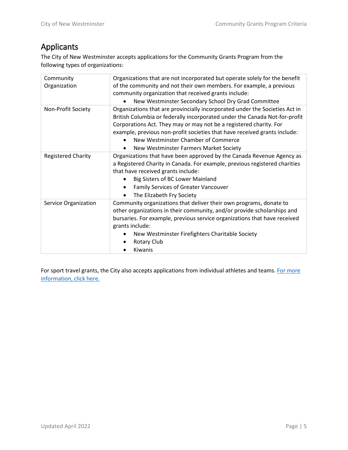# <span id="page-4-0"></span>Applicants

The City of New Westminster accepts applications for the Community Grants Program from the following types of organizations:

| Community<br>Organization | Organizations that are not incorporated but operate solely for the benefit<br>of the community and not their own members. For example, a previous<br>community organization that received grants include:<br>New Westminster Secondary School Dry Grad Committee                                                                                                                              |
|---------------------------|-----------------------------------------------------------------------------------------------------------------------------------------------------------------------------------------------------------------------------------------------------------------------------------------------------------------------------------------------------------------------------------------------|
| Non-Profit Society        | Organizations that are provincially incorporated under the Societies Act in<br>British Columbia or federally incorporated under the Canada Not-for-profit<br>Corporations Act. They may or may not be a registered charity. For<br>example, previous non-profit societies that have received grants include:<br>New Westminster Chamber of Commerce<br>New Westminster Farmers Market Society |
| <b>Registered Charity</b> | Organizations that have been approved by the Canada Revenue Agency as<br>a Registered Charity in Canada. For example, previous registered charities<br>that have received grants include:<br>Big Sisters of BC Lower Mainland<br><b>Family Services of Greater Vancouver</b><br>The Elizabeth Fry Society<br>$\bullet$                                                                        |
| Service Organization      | Community organizations that deliver their own programs, donate to<br>other organizations in their community, and/or provide scholarships and<br>bursaries. For example, previous service organizations that have received<br>grants include:<br>New Westminster Firefighters Charitable Society<br>Rotary Club<br>Kiwanis                                                                    |

For sport travel grants, the City also accepts applications from individual athletes and teams. For more [information, click here.](#page-7-1)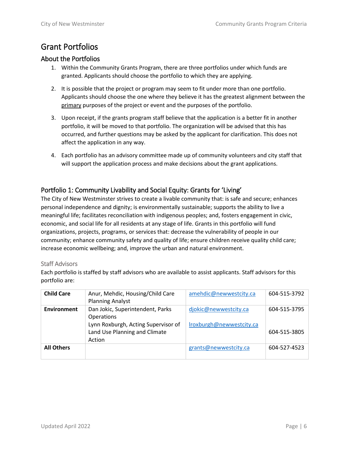# <span id="page-5-0"></span>Grant Portfolios

#### <span id="page-5-1"></span>About the Portfolios

- 1. Within the Community Grants Program, there are three portfolios under which funds are granted. Applicants should choose the portfolio to which they are applying.
- 2. It is possible that the project or program may seem to fit under more than one portfolio. Applicants should choose the one where they believe it has the greatest alignment between the primary purposes of the project or event and the purposes of the portfolio.
- 3. Upon receipt, if the grants program staff believe that the application is a better fit in another portfolio, it will be moved to that portfolio. The organization will be advised that this has occurred, and further questions may be asked by the applicant for clarification. This does not affect the application in any way.
- 4. Each portfolio has an advisory committee made up of community volunteers and city staff that will support the application process and make decisions about the grant applications.

### <span id="page-5-2"></span>Portfolio 1: Community Livability and Social Equity: Grants for 'Living'

The City of New Westminster strives to create a livable community that: is safe and secure; enhances personal independence and dignity; is environmentally sustainable; supports the ability to live a meaningful life; facilitates reconciliation with indigenous peoples; and, fosters engagement in civic, economic, and social life for all residents at any stage of life. Grants in this portfolio will fund organizations, projects, programs, or services that: decrease the vulnerability of people in our community; enhance community safety and quality of life; ensure children receive quality child care; increase economic wellbeing; and, improve the urban and natural environment.

#### Staff Advisors

Each portfolio is staffed by staff advisors who are available to assist applicants. Staff advisors for this portfolio are:

| <b>Child Care</b> | Anur, Mehdic, Housing/Child Care<br><b>Planning Analyst</b>                    | amehdic@newwestcity.ca   | 604-515-3792 |
|-------------------|--------------------------------------------------------------------------------|--------------------------|--------------|
| Environment       | Dan Jokic, Superintendent, Parks<br><b>Operations</b>                          | djokic@newwestcity.ca    | 604-515-3795 |
|                   | Lynn Roxburgh, Acting Supervisor of<br>Land Use Planning and Climate<br>Action | Iroxburgh@newwestcity.ca | 604-515-3805 |
| <b>All Others</b> |                                                                                | grants@newwestcity.ca    | 604-527-4523 |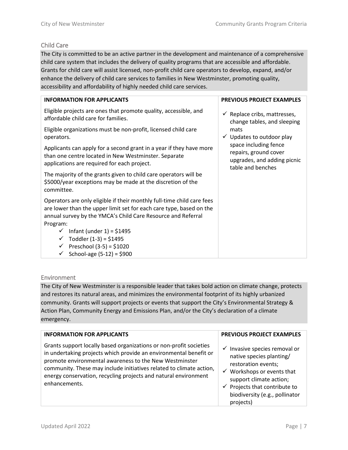#### Child Care

The City is committed to be an active partner in the development and maintenance of a comprehensive child care system that includes the delivery of quality programs that are accessible and affordable. Grants for child care will assist licensed, non-profit child care operators to develop, expand, and/or enhance the delivery of child care services to families in New Westminster, promoting quality, accessibility and affordability of highly needed child care services.

| <b>INFORMATION FOR APPLICANTS</b>                                                                                                                                                                                                                                                                                                                                          | <b>PREVIOUS PROJECT EXAMPLES</b>                                                                   |
|----------------------------------------------------------------------------------------------------------------------------------------------------------------------------------------------------------------------------------------------------------------------------------------------------------------------------------------------------------------------------|----------------------------------------------------------------------------------------------------|
| Eligible projects are ones that promote quality, accessible, and<br>affordable child care for families.                                                                                                                                                                                                                                                                    | $\checkmark$ Replace cribs, mattresses,<br>change tables, and sleeping                             |
| Eligible organizations must be non-profit, licensed child care<br>operators.                                                                                                                                                                                                                                                                                               | mats<br>$\checkmark$ Updates to outdoor play                                                       |
| Applicants can apply for a second grant in a year if they have more<br>than one centre located in New Westminster. Separate<br>applications are required for each project.                                                                                                                                                                                                 | space including fence<br>repairs, ground cover<br>upgrades, and adding picnic<br>table and benches |
| The majority of the grants given to child care operators will be<br>\$5000/year exceptions may be made at the discretion of the<br>committee.                                                                                                                                                                                                                              |                                                                                                    |
| Operators are only eligible if their monthly full-time child care fees<br>are lower than the upper limit set for each care type, based on the<br>annual survey by the YMCA's Child Care Resource and Referral<br>Program:<br>$\checkmark$ Infant (under 1) = \$1495<br>Toddler $(1-3) = $1495$<br>$\checkmark$<br>← Preschool (3-5) = \$1020<br>School-age $(5-12) = $900$ |                                                                                                    |

#### Environment

The City of New Westminster is a responsible leader that takes bold action on climate change, protects and restores its natural areas, and minimizes the environmental footprint of its highly urbanized community. Grants will support projects or events that support the City's Environmental Strategy & Action Plan, Community Energy and Emissions Plan, and/or the City's declaration of a climate emergency.

| <b>INFORMATION FOR APPLICANTS</b>                                                                                                                                                                                                                                                                                                                            | <b>PREVIOUS PROJECT EXAMPLES</b>                                                                                                                                                                                                                           |
|--------------------------------------------------------------------------------------------------------------------------------------------------------------------------------------------------------------------------------------------------------------------------------------------------------------------------------------------------------------|------------------------------------------------------------------------------------------------------------------------------------------------------------------------------------------------------------------------------------------------------------|
| Grants support locally based organizations or non-profit societies<br>in undertaking projects which provide an environmental benefit or<br>promote environmental awareness to the New Westminster<br>community. These may include initiatives related to climate action,<br>energy conservation, recycling projects and natural environment<br>enhancements. | $\checkmark$ Invasive species removal or<br>native species planting/<br>restoration events;<br>$\checkmark$ Workshops or events that<br>support climate action;<br>$\checkmark$ Projects that contribute to<br>biodiversity (e.g., pollinator<br>projects) |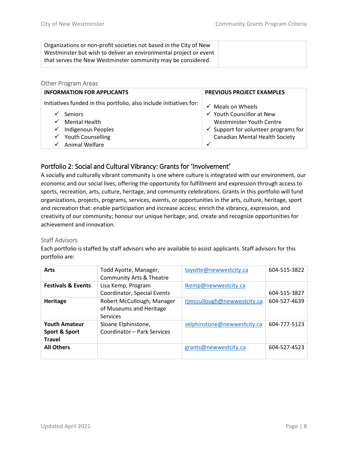| Organizations or non-profit societies not based in the City of New |
|--------------------------------------------------------------------|
| Westminster but wish to deliver an environmental project or event  |
| that serves the New Westminster community may be considered.       |

| <b>Other Program Areas</b>                                                                                                                                                                                                     |                                                                                                                                                                                                              |  |
|--------------------------------------------------------------------------------------------------------------------------------------------------------------------------------------------------------------------------------|--------------------------------------------------------------------------------------------------------------------------------------------------------------------------------------------------------------|--|
| <b>INFORMATION FOR APPLICANTS</b>                                                                                                                                                                                              | <b>PREVIOUS PROJECT EXAMPLES</b>                                                                                                                                                                             |  |
| Initiatives funded in this portfolio, also include initiatives for:<br><b>Seniors</b><br><b>Mental Health</b><br>$\checkmark$<br><b>Indigenous Peoples</b><br>✓<br><b>Youth Counselling</b><br>✓<br><b>Animal Welfare</b><br>✓ | $\checkmark$ Meals on Wheels<br>$\checkmark$ Youth Councillor at New<br>Westminster Youth Centre<br>$\checkmark$ Support for volunteer programs for<br><b>Canadian Mental Health Society</b><br>$\checkmark$ |  |

#### <span id="page-7-0"></span>Portfolio 2: Social and Cultural Vibrancy: Grants for 'Involvement'

A socially and culturally vibrant community is one where culture is integrated with our environment, our economic and our social lives, offering the opportunity for fulfillment and expression through access to sports, recreation, arts, culture, heritage, and community celebrations. Grants in this portfolio will fund organizations, projects, programs, services, events, or opportunities in the arts, culture, heritage, sport and recreation that: enable participation and increase access; enrich the vibrancy, expression, and creativity of our community; honour our unique heritage; and, create and recognize opportunities for achievement and innovation.

#### Staff Advisors

Each portfolio is staffed by staff advisors who are available to assist applicants. Staff advisors for this portfolio are:

<span id="page-7-1"></span>

| <b>Arts</b>                                            | Todd Ayotte, Manager,<br><b>Community Arts &amp; Theatre</b>      | tayotte@newwestcity.ca      | 604-515-3822 |
|--------------------------------------------------------|-------------------------------------------------------------------|-----------------------------|--------------|
| <b>Festivals &amp; Events</b>                          | Lisa Kemp, Program<br>Coordinator, Special Events                 | Ikemp@newwestcity.ca        | 604-515-3827 |
| Heritage                                               | Robert McCullough, Manager<br>of Museums and Heritage<br>Services | rjmccullough@newwestcity.ca | 604-527-4639 |
| <b>Youth Amateur</b><br>Sport & Sport<br><b>Travel</b> | Sloane Elphinstone,<br>Coordinator - Park Services                | selphinstone@newwestcity.ca | 604-777-5123 |
| <b>All Others</b>                                      |                                                                   | grants@newwestcity.ca       | 604-527-4523 |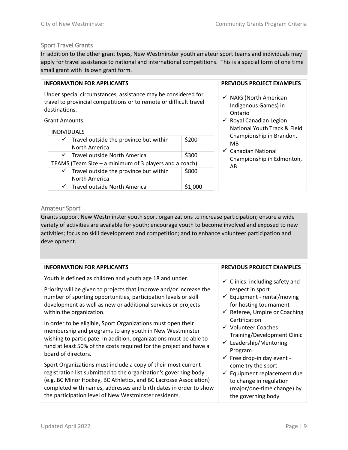#### Sport Travel Grants

In addition to the other grant types, New Westminster youth amateur sport teams and individuals may apply for travel assistance to national and international competitions. This is a special form of one time small grant with its own grant form.

#### **INFORMATION FOR APPLICANTS**

Under special circumstances, assistance may be considered for travel to provincial competitions or to remote or difficult travel destinations.

Grant Amounts:

| <b>INDIVIDUALS</b>                                     |                                                     |       |
|--------------------------------------------------------|-----------------------------------------------------|-------|
|                                                        | $\checkmark$ Travel outside the province but within | \$200 |
|                                                        | North America                                       |       |
|                                                        | $\checkmark$ Travel outside North America           | \$300 |
| TEAMS (Team Size – a minimum of 3 players and a coach) |                                                     |       |
|                                                        | $\checkmark$ Travel outside the province but within | \$800 |
|                                                        | North America                                       |       |
| $\checkmark$                                           | Travel outside North America                        |       |
|                                                        |                                                     |       |

completed with names, addresses and birth dates in order to show

the participation level of New Westminster residents.

#### **PREVIOUS PROJECT EXAMPLES**

- $\checkmark$  NAIG (North American Indigenous Games) in Ontario
- $\checkmark$  Royal Canadian Legion National Youth Track & Field Championship in Brandon, MB
- $\checkmark$  Canadian National Championship in Edmonton, AB

#### Amateur Sport

Grants support New Westminster youth sport organizations to increase participation; ensure a wide variety of activities are available for youth; encourage youth to become involved and exposed to new activities; focus on skill development and competition; and to enhance volunteer participation and development.

| <b>INFORMATION FOR APPLICANTS</b>                                                                                                                                                                                                                                                          | <b>PREVIOUS PROJECT EXAMPLES</b>                                                                                                                             |
|--------------------------------------------------------------------------------------------------------------------------------------------------------------------------------------------------------------------------------------------------------------------------------------------|--------------------------------------------------------------------------------------------------------------------------------------------------------------|
| Youth is defined as children and youth age 18 and under.                                                                                                                                                                                                                                   | $\checkmark$ Clinics: including safety and                                                                                                                   |
| Priority will be given to projects that improve and/or increase the<br>number of sporting opportunities, participation levels or skill<br>development as well as new or additional services or projects<br>within the organization.                                                        | respect in sport<br>$\checkmark$ Equipment - rental/moving<br>for hosting tournament<br>$\checkmark$ Referee, Umpire or Coaching                             |
| In order to be eligible, Sport Organizations must open their<br>membership and programs to any youth in New Westminster<br>wishing to participate. In addition, organizations must be able to<br>fund at least 50% of the costs required for the project and have a<br>board of directors. | Certification<br>✓ Volunteer Coaches<br>Training/Development Clinic<br>$\checkmark$ Leadership/Mentoring<br>Program<br>$\checkmark$ Free drop-in day event - |
| Sport Organizations must include a copy of their most current<br>registration list submitted to the organization's governing body<br>(e.g. BC Minor Hockey, BC Athletics, and BC Lacrosse Association)                                                                                     | come try the sport<br>Equipment replacement due<br>$\checkmark$<br>to change in regulation                                                                   |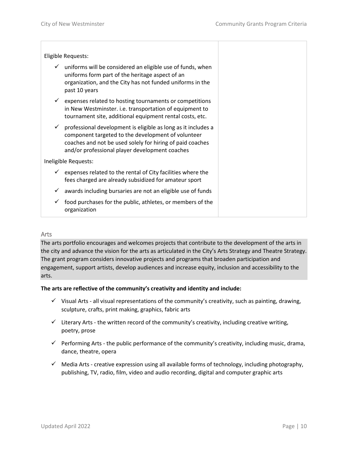|   | Eligible Requests:                                                                                                                                                                                                                 |  |
|---|------------------------------------------------------------------------------------------------------------------------------------------------------------------------------------------------------------------------------------|--|
| ✓ | uniforms will be considered an eligible use of funds, when<br>uniforms form part of the heritage aspect of an<br>organization, and the City has not funded uniforms in the<br>past 10 years                                        |  |
| ✓ | expenses related to hosting tournaments or competitions<br>in New Westminster. i.e. transportation of equipment to<br>tournament site, additional equipment rental costs, etc.                                                     |  |
| ✓ | professional development is eligible as long as it includes a<br>component targeted to the development of volunteer<br>coaches and not be used solely for hiring of paid coaches<br>and/or professional player development coaches |  |
|   | Ineligible Requests:                                                                                                                                                                                                               |  |
| ✓ | expenses related to the rental of City facilities where the<br>fees charged are already subsidized for amateur sport                                                                                                               |  |
| ✓ | awards including bursaries are not an eligible use of funds                                                                                                                                                                        |  |
|   | food purchases for the public, athletes, or members of the<br>organization                                                                                                                                                         |  |

#### Arts

The arts portfolio encourages and welcomes projects that contribute to the development of the arts in the city and advance the vision for the arts as articulated in the City's Arts Strategy and Theatre Strategy. The grant program considers innovative projects and programs that broaden participation and engagement, support artists, develop audiences and increase equity, inclusion and accessibility to the arts.

#### **The arts are reflective of the community's creativity and identity and include:**

- $\checkmark$  Visual Arts all visual representations of the community's creativity, such as painting, drawing, sculpture, crafts, print making, graphics, fabric arts
- $\checkmark$  Literary Arts the written record of the community's creativity, including creative writing, poetry, prose
- $\checkmark$  Performing Arts the public performance of the community's creativity, including music, drama, dance, theatre, opera
- $\checkmark$  Media Arts creative expression using all available forms of technology, including photography, publishing, TV, radio, film, video and audio recording, digital and computer graphic arts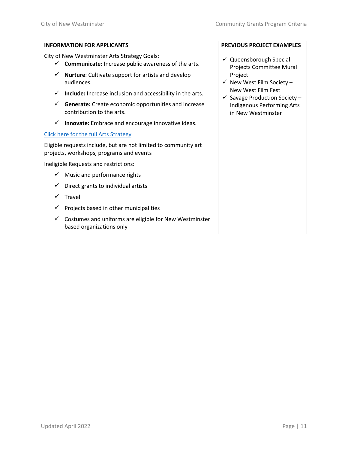| <b>INFORMATION FOR APPLICANTS</b>                                                                                          | <b>PREVIOUS PROJECT EXAMPLES</b>                               |  |  |
|----------------------------------------------------------------------------------------------------------------------------|----------------------------------------------------------------|--|--|
| City of New Westminster Arts Strategy Goals:<br><b>Communicate:</b> Increase public awareness of the arts.<br>$\checkmark$ | $\checkmark$ Queensborough Special<br>Projects Committee Mural |  |  |
| Nurture: Cultivate support for artists and develop<br>✓<br>audiences.                                                      | Project<br>$\checkmark$ New West Film Society -                |  |  |
| Include: Increase inclusion and accessibility in the arts.<br>✓                                                            | New West Film Fest<br>$\checkmark$ Savage Production Society - |  |  |
| Generate: Create economic opportunities and increase<br>✓<br>contribution to the arts.                                     | <b>Indigenous Performing Arts</b><br>in New Westminster        |  |  |
| Innovate: Embrace and encourage innovative ideas.<br>✓                                                                     |                                                                |  |  |
| Click here for the full Arts Strategy                                                                                      |                                                                |  |  |
| Eligible requests include, but are not limited to community art<br>projects, workshops, programs and events                |                                                                |  |  |
| Ineligible Requests and restrictions:                                                                                      |                                                                |  |  |
| Music and performance rights<br>✓                                                                                          |                                                                |  |  |
| Direct grants to individual artists<br>✓                                                                                   |                                                                |  |  |
| Travel                                                                                                                     |                                                                |  |  |
| Projects based in other municipalities<br>✓                                                                                |                                                                |  |  |
| Costumes and uniforms are eligible for New Westminster<br>✓<br>based organizations only                                    |                                                                |  |  |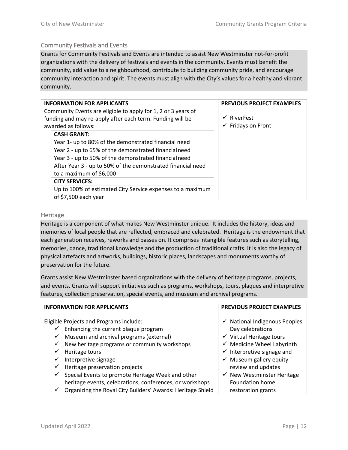#### Community Festivals and Events

Grants for Community Festivals and Events are intended to assist New Westminster not-for-profit organizations with the delivery of festivals and events in the community. Events must benefit the community, add value to a neighbourhood, contribute to building community pride, and encourage community interaction and spirit. The events must align with the City's values for a healthy and vibrant community.

| <b>INFORMATION FOR APPLICANTS</b><br>Community Events are eligible to apply for 1, 2 or 3 years of |                                                                                    | <b>PREVIOUS PROJECT EXAMPLES</b>                        |
|----------------------------------------------------------------------------------------------------|------------------------------------------------------------------------------------|---------------------------------------------------------|
| funding and may re-apply after each term. Funding will be<br>awarded as follows:                   |                                                                                    | $\checkmark$ RiverFest<br>$\checkmark$ Fridays on Front |
|                                                                                                    | <b>CASH GRANT:</b>                                                                 |                                                         |
|                                                                                                    | Year 1- up to 80% of the demonstrated financial need                               |                                                         |
|                                                                                                    | Year 2 - up to 65% of the demonstrated financial need                              |                                                         |
|                                                                                                    | Year 3 - up to 50% of the demonstrated financial need                              |                                                         |
|                                                                                                    | After Year 3 - up to 50% of the demonstrated financial need                        |                                                         |
|                                                                                                    | to a maximum of \$6,000                                                            |                                                         |
|                                                                                                    | <b>CITY SERVICES:</b>                                                              |                                                         |
|                                                                                                    | Up to 100% of estimated City Service expenses to a maximum<br>of \$7,500 each year |                                                         |

#### **Heritage**

Heritage is a component of what makes New Westminster unique. It includes the history, ideas and memories of local people that are reflected, embraced and celebrated. Heritage is the endowment that each generation receives, reworks and passes on. It comprises intangible features such as storytelling, memories, dance, traditional knowledge and the production of traditional crafts. It is also the legacy of physical artefacts and artworks, buildings, historic places, landscapes and monuments worthy of preservation for the future.

Grants assist New Westminster based organizations with the delivery of heritage programs, projects, and events. Grants will support initiatives such as programs, workshops, tours, plaques and interpretive features, collection preservation, special events, and museum and archival programs.

| <b>INFORMATION FOR APPLICANTS</b>                                           | <b>PREVIOUS PROJECT EXAMPLES</b>         |
|-----------------------------------------------------------------------------|------------------------------------------|
| Eligible Projects and Programs include:                                     | $\checkmark$ National Indigenous Peoples |
| Enhancing the current plaque program                                        | Day celebrations                         |
| Museum and archival programs (external)<br>$\checkmark$                     | $\checkmark$ Virtual Heritage tours      |
| New heritage programs or community workshops<br>$\checkmark$                | $\checkmark$ Medicine Wheel Labyrinth    |
| Heritage tours                                                              | $\checkmark$ Interpretive signage and    |
| Interpretive signage<br>✓                                                   | $\checkmark$ Museum gallery equity       |
| Heritage preservation projects<br>✓                                         | review and updates                       |
| Special Events to promote Heritage Week and other<br>$\checkmark$           | $\checkmark$ New Westminster Heritage    |
| heritage events, celebrations, conferences, or workshops                    | <b>Foundation home</b>                   |
| Organizing the Royal City Builders' Awards: Heritage Shield<br>$\checkmark$ | restoration grants                       |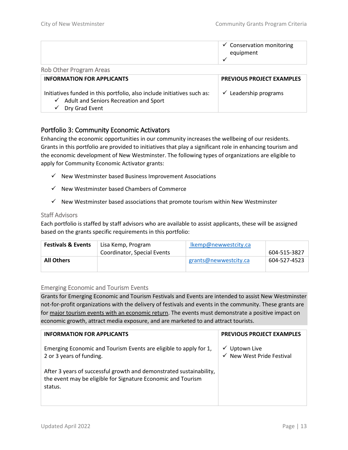|                                | $\checkmark$ Conservation monitoring<br>equipment |
|--------------------------------|---------------------------------------------------|
| <b>Rob Other Program Areas</b> |                                                   |

| <b>INFORMATION FOR APPLICANTS</b>                                                                                              | <b>PREVIOUS PROJECT EXAMPLES</b> |  |
|--------------------------------------------------------------------------------------------------------------------------------|----------------------------------|--|
| Initiatives funded in this portfolio, also include initiatives such as:<br>$\checkmark$ Adult and Seniors Recreation and Sport | $\checkmark$ Leadership programs |  |
| Dry Grad Event<br>$\checkmark$                                                                                                 |                                  |  |

#### <span id="page-12-0"></span>Portfolio 3: Community Economic Activators

Enhancing the economic opportunities in our community increases the wellbeing of our residents. Grants in this portfolio are provided to initiatives that play a significant role in enhancing tourism and the economic development of New Westminster. The following types of organizations are eligible to apply for Community Economic Activator grants:

- $\checkmark$  New Westminster based Business Improvement Associations
- $\checkmark$  New Westminster based Chambers of Commerce
- $\checkmark$  New Westminster based associations that promote tourism within New Westminster

#### Staff Advisors

Each portfolio is staffed by staff advisors who are available to assist applicants, these will be assigned based on the grants specific requirements in this portfolio:

| <b>Festivals &amp; Events</b> | Lisa Kemp, Program          | Ikemp@newwestcity.ca  |              |
|-------------------------------|-----------------------------|-----------------------|--------------|
|                               | Coordinator, Special Events |                       | 604-515-3827 |
| <b>All Others</b>             |                             | grants@newwestcity.ca | 604-527-4523 |

#### Emerging Economic and Tourism Events

Grants for Emerging Economic and Tourism Festivals and Events are intended to assist New Westminster not-for-profit organizations with the delivery of festivals and events in the community. These grants are for major tourism events with an economic return. The events must demonstrate a positive impact on economic growth, attract media exposure, and are marketed to and attract tourists.

| <b>INFORMATION FOR APPLICANTS</b>                                                                                                              | <b>PREVIOUS PROJECT EXAMPLES</b>                      |
|------------------------------------------------------------------------------------------------------------------------------------------------|-------------------------------------------------------|
| Emerging Economic and Tourism Events are eligible to apply for 1,<br>2 or 3 years of funding.                                                  | $\checkmark$ Uptown Live<br>√ New West Pride Festival |
| After 3 years of successful growth and demonstrated sustainability,<br>the event may be eligible for Signature Economic and Tourism<br>status. |                                                       |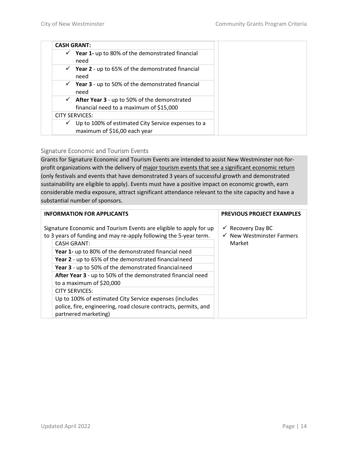|              | <b>CASH GRANT:</b>                                                                      |
|--------------|-----------------------------------------------------------------------------------------|
| $\checkmark$ | Year 1- up to 80% of the demonstrated financial<br>need                                 |
| $\checkmark$ | <b>Year 2</b> - up to 65% of the demonstrated financial<br>need                         |
| $\checkmark$ | Year 3 - up to 50% of the demonstrated financial<br>need                                |
| $\checkmark$ | After Year 3 - up to 50% of the demonstrated<br>financial need to a maximum of \$15,000 |
|              | <b>CITY SERVICES:</b>                                                                   |
| $\checkmark$ | Up to 100% of estimated City Service expenses to a<br>maximum of \$16,00 each year      |

Signature Economic and Tourism Events

Grants for Signature Economic and Tourism Events are intended to assist New Westminster not-forprofit organizations with the delivery of major tourism events that see a significant economic return (only festivals and events that have demonstrated 3 years of successful growth and demonstrated sustainability are eligible to apply). Events must have a positive impact on economic growth, earn considerable media exposure, attract significant attendance relevant to the site capacity and have a substantial number of sponsors.

| <b>INFORMATION FOR APPLICANTS</b> |                                                                                                                                         | <b>PREVIOUS PROJECT EXAMPLES</b>                                     |
|-----------------------------------|-----------------------------------------------------------------------------------------------------------------------------------------|----------------------------------------------------------------------|
|                                   | Signature Economic and Tourism Events are eligible to apply for up<br>to 3 years of funding and may re-apply following the 5-year term. | $\checkmark$ Recovery Day BC<br>$\checkmark$ New Westminster Farmers |
|                                   | <b>CASH GRANT:</b>                                                                                                                      | Market                                                               |
|                                   | Year 1- up to 80% of the demonstrated financial need                                                                                    |                                                                      |
|                                   | Year 2 - up to 65% of the demonstrated financial need                                                                                   |                                                                      |
|                                   | Year 3 - up to 50% of the demonstrated financial need                                                                                   |                                                                      |
|                                   | After Year 3 - up to 50% of the demonstrated financial need<br>to a maximum of \$20,000                                                 |                                                                      |
|                                   | <b>CITY SERVICES:</b>                                                                                                                   |                                                                      |
|                                   | Up to 100% of estimated City Service expenses (includes                                                                                 |                                                                      |
|                                   | police, fire, engineering, road closure contracts, permits, and<br>partnered marketing)                                                 |                                                                      |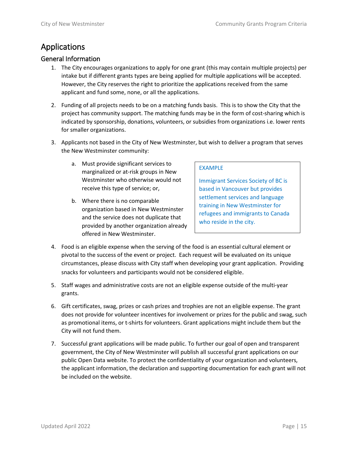# <span id="page-14-0"></span>Applications

#### <span id="page-14-1"></span>General Information

- 1. The City encourages organizations to apply for one grant (this may contain multiple projects) per intake but if different grants types are being applied for multiple applications will be accepted. However, the City reserves the right to prioritize the applications received from the same applicant and fund some, none, or all the applications.
- 2. Funding of all projects needs to be on a matching funds basis. This is to show the City that the project has community support. The matching funds may be in the form of cost-sharing which is indicated by sponsorship, donations, volunteers, or subsidies from organizations i.e. lower rents for smaller organizations.
- 3. Applicants not based in the City of New Westminster, but wish to deliver a program that serves the New Westminster community:
	- a. Must provide significant services to marginalized or at-risk groups in New Westminster who otherwise would not receive this type of service; or,
	- b. Where there is no comparable organization based in New Westminster and the service does not duplicate that provided by another organization already offered in New Westminster.

#### EXAMPLE

Immigrant Services Society of BC is based in Vancouver but provides settlement services and language training in New Westminster for refugees and immigrants to Canada who reside in the city.

- 4. Food is an eligible expense when the serving of the food is an essential cultural element or pivotal to the success of the event or project. Each request will be evaluated on its unique circumstances, please discuss with City staff when developing your grant application. Providing snacks for volunteers and participants would not be considered eligible.
- 5. Staff wages and administrative costs are not an eligible expense outside of the multi-year grants.
- 6. Gift certificates, swag, prizes or cash prizes and trophies are not an eligible expense. The grant does not provide for volunteer incentives for involvement or prizes for the public and swag, such as promotional items, or t-shirts for volunteers. Grant applications might include them but the City will not fund them.
- 7. Successful grant applications will be made public. To further our goal of open and transparent government, the City of New Westminster will publish all successful grant applications on our public Open Data website. To protect the confidentiality of your organization and volunteers, the applicant information, the declaration and supporting documentation for each grant will not be included on the website.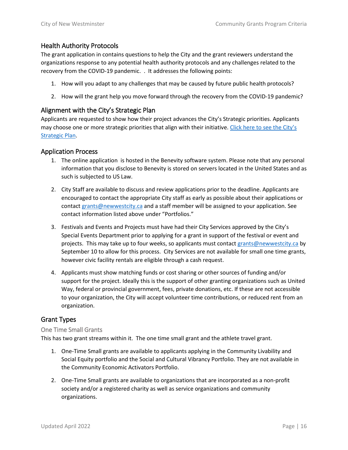#### Health Authority Protocols

The grant application in contains questions to help the City and the grant reviewers understand the organizations response to any potential health authority protocols and any challenges related to the recovery from the COVID-19 pandemic. . It addresses the following points:

- 1. How will you adapt to any challenges that may be caused by future public health protocols?
- 2. How will the grant help you move forward through the recovery from the COVID-19 pandemic?

#### <span id="page-15-0"></span>Alignment with the City's Strategic Plan

Applicants are requested to show how their project advances the City's Strategic priorities. Applicants may choose one or more strategic priorities that align with their initiative. Click here to see the City's [Strategic Plan.](https://www.newwestcity.ca/city_hall/mayor_and_council/strategic-plan)

#### <span id="page-15-1"></span>Application Process

- 1. The online application is hosted in the Benevity software system. Please note that any personal information that you disclose to Benevity is stored on servers located in the United States and as such is subjected to US Law.
- 2. City Staff are available to discuss and review applications prior to the deadline. Applicants are encouraged to contact the appropriate City staff as early as possible about their applications or contact [grants@newwestcity.ca](mailto:grants@newwestcity.ca) and a staff member will be assigned to your application. See contact information listed above under "Portfolios."
- 3. Festivals and Events and Projects must have had their City Services approved by the City's Special Events Department prior to applying for a grant in support of the festival or event and projects. This may take up to four weeks, so applicants must contact [grants@newwestcity.ca](mailto:grants@newwestcity.ca) by September 10 to allow for this process. City Services are not available for small one time grants, however civic facility rentals are eligible through a cash request.
- 4. Applicants must show matching funds or cost sharing or other sources of funding and/or support for the project. Ideally this is the support of other granting organizations such as United Way, federal or provincial government, fees, private donations, etc. If these are not accessible to your organization, the City will accept volunteer time contributions, or reduced rent from an organization.

#### <span id="page-15-2"></span>Grant Types

#### One Time Small Grants

This has two grant streams within it. The one time small grant and the athlete travel grant.

- 1. One-Time Small grants are available to applicants applying in the Community Livability and Social Equity portfolio and the Social and Cultural Vibrancy Portfolio. They are not available in the Community Economic Activators Portfolio.
- 2. One-Time Small grants are available to organizations that are incorporated as a non-profit society and/or a registered charity as well as service organizations and community organizations.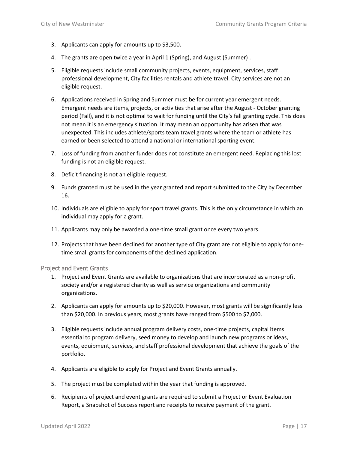- 3. Applicants can apply for amounts up to \$3,500.
- 4. The grants are open twice a year in April 1 (Spring), and August (Summer) .
- 5. Eligible requests include small community projects, events, equipment, services, staff professional development, City facilities rentals and athlete travel. City services are not an eligible request.
- 6. Applications received in Spring and Summer must be for current year emergent needs. Emergent needs are items, projects, or activities that arise after the August - October granting period (Fall), and it is not optimal to wait for funding until the City's fall granting cycle. This does not mean it is an emergency situation. It may mean an opportunity has arisen that was unexpected. This includes athlete/sports team travel grants where the team or athlete has earned or been selected to attend a national or international sporting event.
- 7. Loss of funding from another funder does not constitute an emergent need. Replacing this lost funding is not an eligible request.
- 8. Deficit financing is not an eligible request.
- 9. Funds granted must be used in the year granted and report submitted to the City by December 16.
- 10. Individuals are eligible to apply for sport travel grants. This is the only circumstance in which an individual may apply for a grant.
- 11. Applicants may only be awarded a one-time small grant once every two years.
- 12. Projects that have been declined for another type of City grant are not eligible to apply for onetime small grants for components of the declined application.

#### Project and Event Grants

- 1. Project and Event Grants are available to organizations that are incorporated as a non-profit society and/or a registered charity as well as service organizations and community organizations.
- 2. Applicants can apply for amounts up to \$20,000. However, most grants will be significantly less than \$20,000. In previous years, most grants have ranged from \$500 to \$7,000.
- 3. Eligible requests include annual program delivery costs, one-time projects, capital items essential to program delivery, seed money to develop and launch new programs or ideas, events, equipment, services, and staff professional development that achieve the goals of the portfolio.
- 4. Applicants are eligible to apply for Project and Event Grants annually.
- 5. The project must be completed within the year that funding is approved.
- 6. Recipients of project and event grants are required to submit a Project or Event Evaluation Report, a Snapshot of Success report and receipts to receive payment of the grant.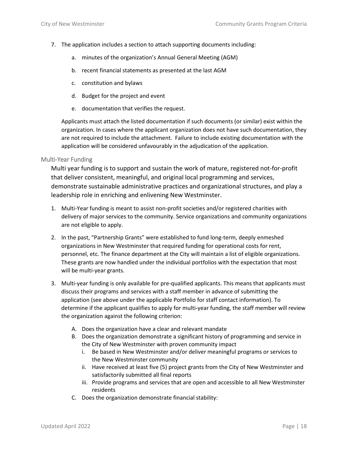- 7. The application includes a section to attach supporting documents including:
	- a. minutes of the organization's Annual General Meeting (AGM)
	- b. recent financial statements as presented at the last AGM
	- c. constitution and bylaws
	- d. Budget for the project and event
	- e. documentation that verifies the request.

Applicants must attach the listed documentation if such documents (or similar) exist within the organization. In cases where the applicant organization does not have such documentation, they are not required to include the attachment. Failure to include existing documentation with the application will be considered unfavourably in the adjudication of the application.

#### Multi-Year Funding

Multi year funding is to support and sustain the work of mature, registered not-for-profit that deliver consistent, meaningful, and original local programming and services, demonstrate sustainable administrative practices and organizational structures, and play a leadership role in enriching and enlivening New Westminster.

- 1. Multi-Year funding is meant to assist non-profit societies and/or registered charities with delivery of major services to the community. Service organizations and community organizations are not eligible to apply.
- 2. In the past, "Partnership Grants" were established to fund long-term, deeply enmeshed organizations in New Westminster that required funding for operational costs for rent, personnel, etc. The finance department at the City will maintain a list of eligible organizations. These grants are now handled under the individual portfolios with the expectation that most will be multi-year grants.
- 3. Multi-year funding is only available for pre-qualified applicants. This means that applicants must discuss their programs and services with a staff member in advance of submitting the application (see above under the applicable Portfolio for staff contact information). To determine if the applicant qualifies to apply for multi-year funding, the staff member will review the organization against the following criterion:
	- A. Does the organization have a clear and relevant mandate
	- B. Does the organization demonstrate a significant history of programming and service in the City of New Westminster with proven community impact
		- i. Be based in New Westminster and/or deliver meaningful programs or services to the New Westminster community
		- ii. Have received at least five (5) project grants from the City of New Westminster and satisfactorily submitted all final reports
		- iii. Provide programs and services that are open and accessible to all New Westminster residents
	- C. Does the organization demonstrate financial stability: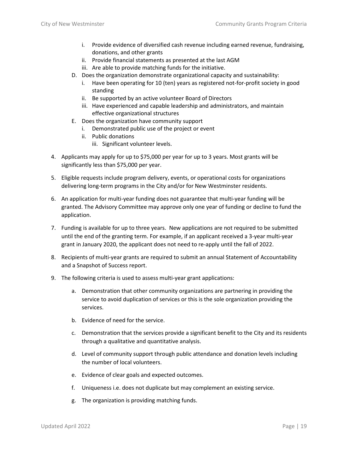- i. Provide evidence of diversified cash revenue including earned revenue, fundraising, donations, and other grants
- ii. Provide financial statements as presented at the last AGM
- iii. Are able to provide matching funds for the initiative.
- D. Does the organization demonstrate organizational capacity and sustainability:
	- i. Have been operating for 10 (ten) years as registered not-for-profit society in good standing
	- ii. Be supported by an active volunteer Board of Directors
	- iii. Have experienced and capable leadership and administrators, and maintain effective organizational structures
- E. Does the organization have community support
	- i. Demonstrated public use of the project or event
	- ii. Public donations
		- iii. Significant volunteer levels.
- 4. Applicants may apply for up to \$75,000 per year for up to 3 years. Most grants will be significantly less than \$75,000 per year.
- 5. Eligible requests include program delivery, events, or operational costs for organizations delivering long-term programs in the City and/or for New Westminster residents.
- 6. An application for multi-year funding does not guarantee that multi-year funding will be granted. The Advisory Committee may approve only one year of funding or decline to fund the application.
- 7. Funding is available for up to three years. New applications are not required to be submitted until the end of the granting term. For example, if an applicant received a 3-year multi-year grant in January 2020, the applicant does not need to re-apply until the fall of 2022.
- 8. Recipients of multi-year grants are required to submit an annual Statement of Accountability and a Snapshot of Success report.
- 9. The following criteria is used to assess multi-year grant applications:
	- a. Demonstration that other community organizations are partnering in providing the service to avoid duplication of services or this is the sole organization providing the services.
	- b. Evidence of need for the service.
	- c. Demonstration that the services provide a significant benefit to the City and its residents through a qualitative and quantitative analysis.
	- d. Level of community support through public attendance and donation levels including the number of local volunteers.
	- e. Evidence of clear goals and expected outcomes.
	- f. Uniqueness i.e. does not duplicate but may complement an existing service.
	- g. The organization is providing matching funds.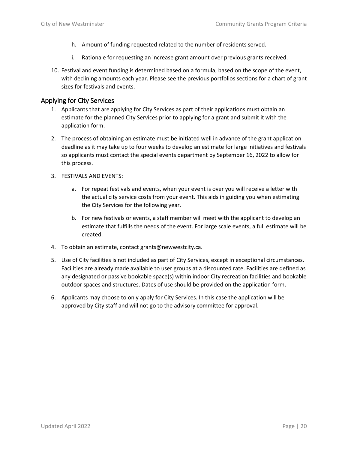- h. Amount of funding requested related to the number of residents served.
- i. Rationale for requesting an increase grant amount over previous grants received.
- 10. Festival and event funding is determined based on a formula, based on the scope of the event, with declining amounts each year. Please see the previous portfolios sections for a chart of grant sizes for festivals and events.

#### <span id="page-19-0"></span>Applying for City Services

- 1. Applicants that are applying for City Services as part of their applications must obtain an estimate for the planned City Services prior to applying for a grant and submit it with the application form.
- 2. The process of obtaining an estimate must be initiated well in advance of the grant application deadline as it may take up to four weeks to develop an estimate for large initiatives and festivals so applicants must contact the special events department by September 16, 2022 to allow for this process.
- 3. FESTIVALS AND EVENTS:
	- a. For repeat festivals and events, when your event is over you will receive a letter with the actual city service costs from your event. This aids in guiding you when estimating the City Services for the following year.
	- b. For new festivals or events, a staff member will meet with the applicant to develop an estimate that fulfills the needs of the event. For large scale events, a full estimate will be created.
- 4. To obtain an estimate, contact grants@newwestcity.ca.
- 5. Use of City facilities is not included as part of City Services, except in exceptional circumstances. Facilities are already made available to user groups at a discounted rate. Facilities are defined as any designated or passive bookable space(s) within indoor City recreation facilities and bookable outdoor spaces and structures. Dates of use should be provided on the application form.
- 6. Applicants may choose to only apply for City Services. In this case the application will be approved by City staff and will not go to the advisory committee for approval.